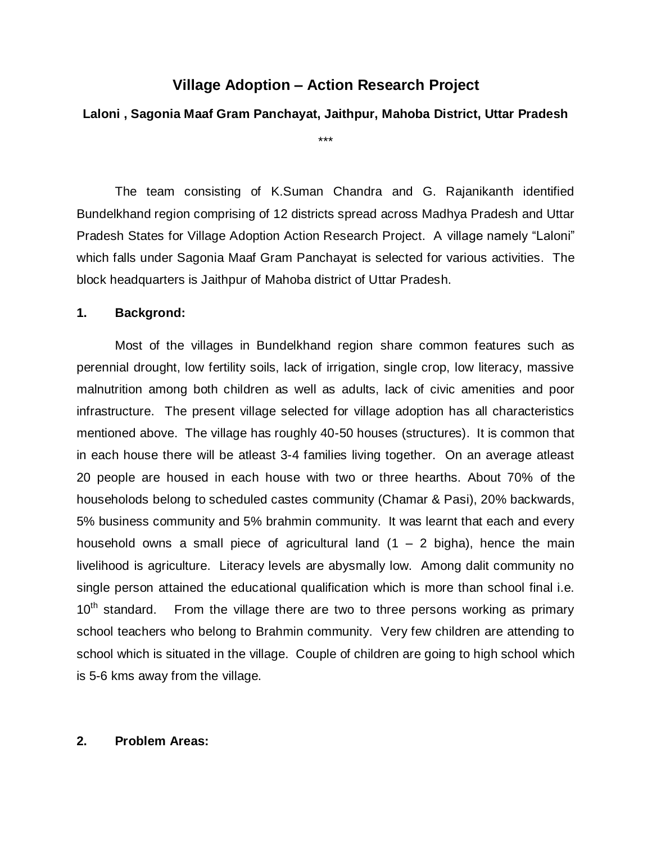# **Village Adoption – Action Research Project**

## **Laloni , Sagonia Maaf Gram Panchayat, Jaithpur, Mahoba District, Uttar Pradesh**

\*\*\*

The team consisting of K.Suman Chandra and G. Rajanikanth identified Bundelkhand region comprising of 12 districts spread across Madhya Pradesh and Uttar Pradesh States for Village Adoption Action Research Project. A village namely "Laloni" which falls under Sagonia Maaf Gram Panchayat is selected for various activities. The block headquarters is Jaithpur of Mahoba district of Uttar Pradesh.

### **1. Backgrond:**

Most of the villages in Bundelkhand region share common features such as perennial drought, low fertility soils, lack of irrigation, single crop, low literacy, massive malnutrition among both children as well as adults, lack of civic amenities and poor infrastructure. The present village selected for village adoption has all characteristics mentioned above. The village has roughly 40-50 houses (structures). It is common that in each house there will be atleast 3-4 families living together. On an average atleast 20 people are housed in each house with two or three hearths. About 70% of the householods belong to scheduled castes community (Chamar & Pasi), 20% backwards, 5% business community and 5% brahmin community. It was learnt that each and every household owns a small piece of agricultural land  $(1 - 2)$  bigha), hence the main livelihood is agriculture. Literacy levels are abysmally low. Among dalit community no single person attained the educational qualification which is more than school final i.e.  $10<sup>th</sup>$  standard. From the village there are two to three persons working as primary school teachers who belong to Brahmin community. Very few children are attending to school which is situated in the village. Couple of children are going to high school which is 5-6 kms away from the village.

### **2. Problem Areas:**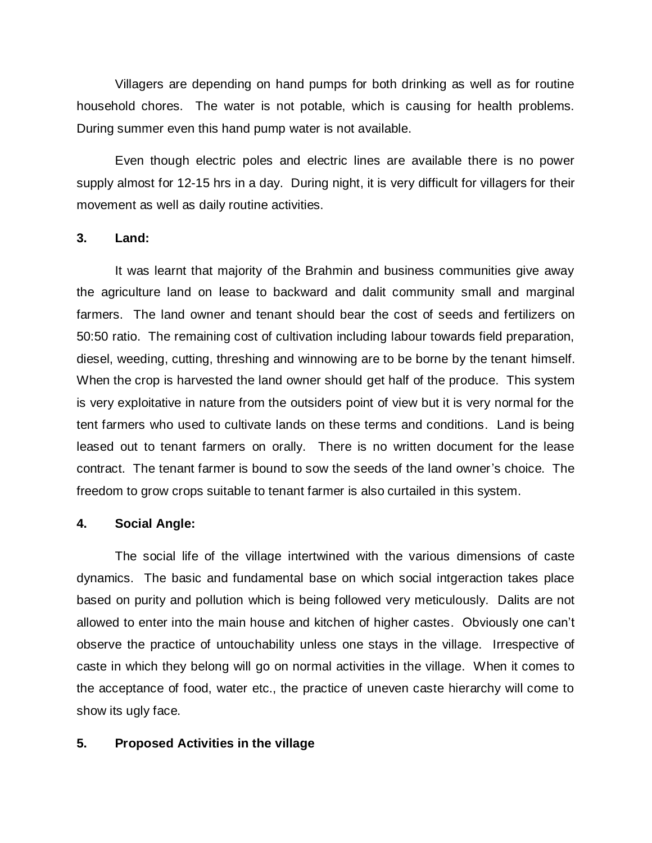Villagers are depending on hand pumps for both drinking as well as for routine household chores. The water is not potable, which is causing for health problems. During summer even this hand pump water is not available.

Even though electric poles and electric lines are available there is no power supply almost for 12-15 hrs in a day. During night, it is very difficult for villagers for their movement as well as daily routine activities.

#### **3. Land:**

It was learnt that majority of the Brahmin and business communities give away the agriculture land on lease to backward and dalit community small and marginal farmers. The land owner and tenant should bear the cost of seeds and fertilizers on 50:50 ratio. The remaining cost of cultivation including labour towards field preparation, diesel, weeding, cutting, threshing and winnowing are to be borne by the tenant himself. When the crop is harvested the land owner should get half of the produce. This system is very exploitative in nature from the outsiders point of view but it is very normal for the tent farmers who used to cultivate lands on these terms and conditions. Land is being leased out to tenant farmers on orally. There is no written document for the lease contract. The tenant farmer is bound to sow the seeds of the land owner's choice. The freedom to grow crops suitable to tenant farmer is also curtailed in this system.

#### **4. Social Angle:**

The social life of the village intertwined with the various dimensions of caste dynamics. The basic and fundamental base on which social intgeraction takes place based on purity and pollution which is being followed very meticulously. Dalits are not allowed to enter into the main house and kitchen of higher castes. Obviously one can't observe the practice of untouchability unless one stays in the village. Irrespective of caste in which they belong will go on normal activities in the village. When it comes to the acceptance of food, water etc., the practice of uneven caste hierarchy will come to show its ugly face.

#### **5. Proposed Activities in the village**